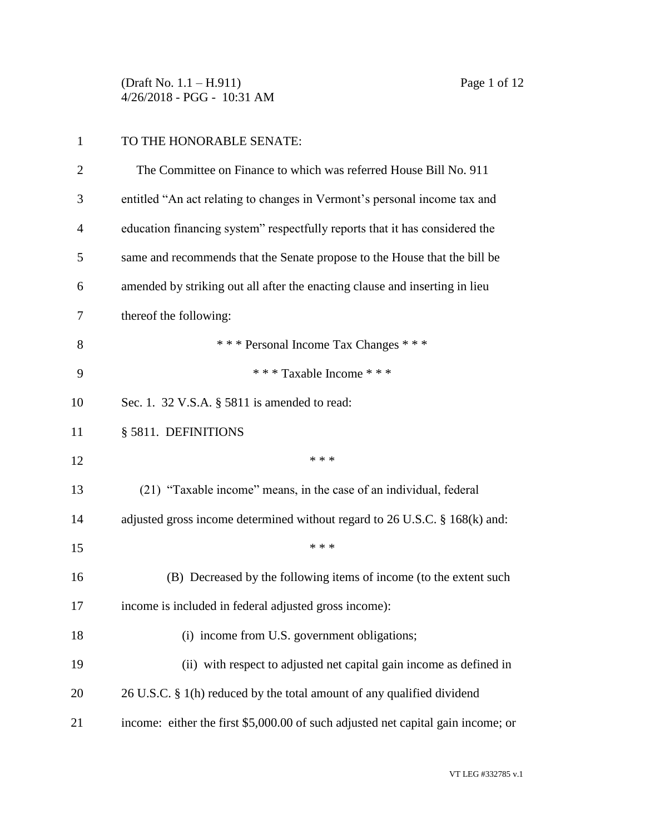(Draft No. 1.1 – H.911) Page 1 of 12 4/26/2018 - PGG - 10:31 AM

## TO THE HONORABLE SENATE:

| $\overline{2}$ | The Committee on Finance to which was referred House Bill No. 911                |
|----------------|----------------------------------------------------------------------------------|
| 3              | entitled "An act relating to changes in Vermont's personal income tax and        |
| $\overline{4}$ | education financing system" respectfully reports that it has considered the      |
| 5              | same and recommends that the Senate propose to the House that the bill be        |
| 6              | amended by striking out all after the enacting clause and inserting in lieu      |
| 7              | thereof the following:                                                           |
| 8              | *** Personal Income Tax Changes ***                                              |
| 9              | *** Taxable Income ***                                                           |
| 10             | Sec. 1. 32 V.S.A. § 5811 is amended to read:                                     |
| 11             | § 5811. DEFINITIONS                                                              |
| 12             | * * *                                                                            |
| 13             | (21) "Taxable income" means, in the case of an individual, federal               |
| 14             | adjusted gross income determined without regard to 26 U.S.C. § 168(k) and:       |
| 15             | * * *                                                                            |
| 16             | (B) Decreased by the following items of income (to the extent such               |
| 17             | income is included in federal adjusted gross income):                            |
| 18             | (i) income from U.S. government obligations;                                     |
| 19             | (ii) with respect to adjusted net capital gain income as defined in              |
| 20             | 26 U.S.C. § 1(h) reduced by the total amount of any qualified dividend           |
| 21             | income: either the first \$5,000.00 of such adjusted net capital gain income; or |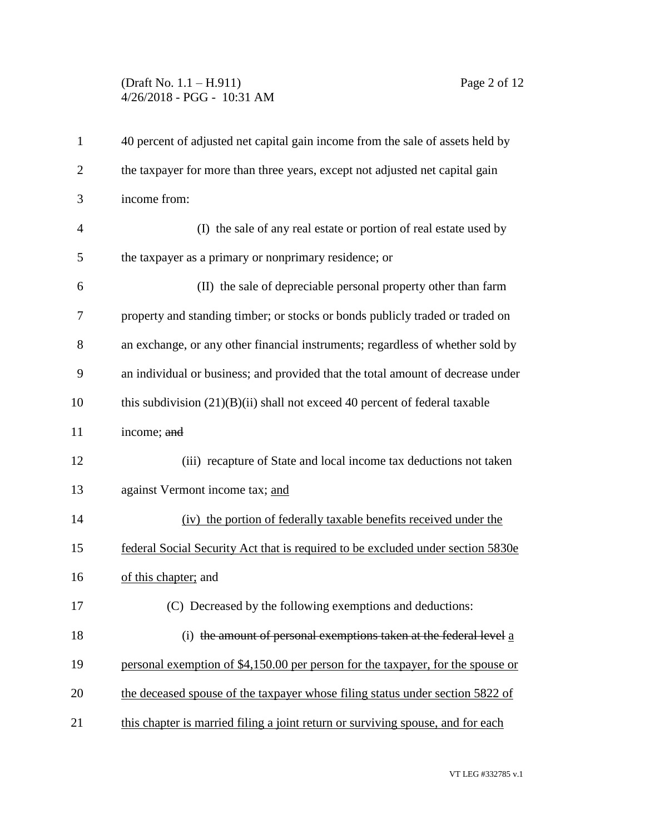## (Draft No. 1.1 – H.911) Page 2 of 12 4/26/2018 - PGG - 10:31 AM

| $\mathbf{1}$   | 40 percent of adjusted net capital gain income from the sale of assets held by  |
|----------------|---------------------------------------------------------------------------------|
| $\overline{2}$ | the taxpayer for more than three years, except not adjusted net capital gain    |
| 3              | income from:                                                                    |
| $\overline{4}$ | (I) the sale of any real estate or portion of real estate used by               |
| 5              | the taxpayer as a primary or nonprimary residence; or                           |
| 6              | (II) the sale of depreciable personal property other than farm                  |
| 7              | property and standing timber; or stocks or bonds publicly traded or traded on   |
| 8              | an exchange, or any other financial instruments; regardless of whether sold by  |
| 9              | an individual or business; and provided that the total amount of decrease under |
| 10             | this subdivision $(21)(B)(ii)$ shall not exceed 40 percent of federal taxable   |
| 11             | income; and                                                                     |
| 12             | (iii) recapture of State and local income tax deductions not taken              |
| 13             | against Vermont income tax; and                                                 |
| 14             | (iv) the portion of federally taxable benefits received under the               |
| 15             | federal Social Security Act that is required to be excluded under section 5830e |
| 16             | of this chapter; and                                                            |
| 17             | (C) Decreased by the following exemptions and deductions:                       |
| 18             | (i) the amount of personal exemptions taken at the federal level a              |
| 19             | personal exemption of \$4,150.00 per person for the taxpayer, for the spouse or |
| 20             | the deceased spouse of the taxpayer whose filing status under section 5822 of   |
| 21             | this chapter is married filing a joint return or surviving spouse, and for each |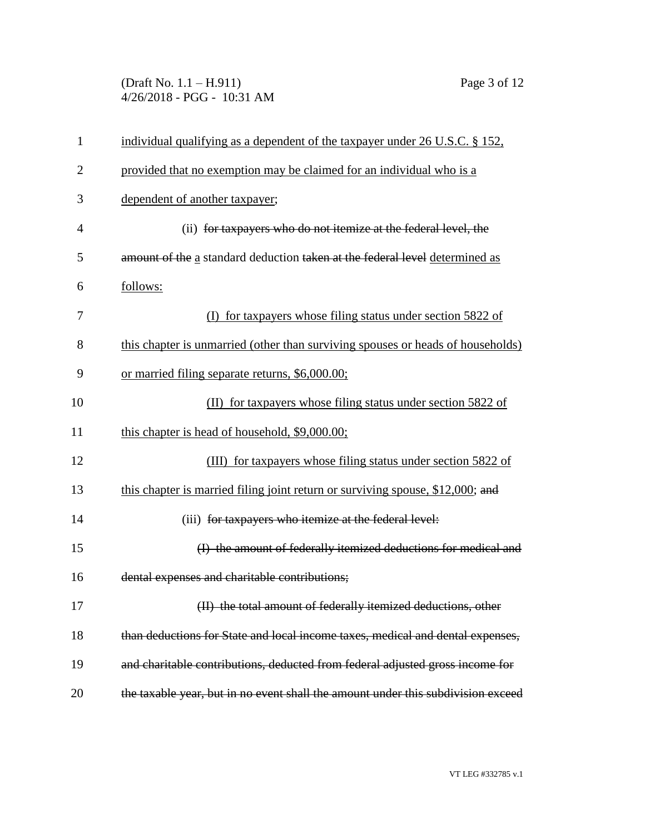(Draft No. 1.1 – H.911) Page 3 of 12 4/26/2018 - PGG - 10:31 AM

| $\mathbf{1}$   | individual qualifying as a dependent of the taxpayer under 26 U.S.C. § 152.      |
|----------------|----------------------------------------------------------------------------------|
| $\overline{2}$ | provided that no exemption may be claimed for an individual who is a             |
| 3              | dependent of another taxpayer;                                                   |
| $\overline{4}$ | (ii) for taxpayers who do not itemize at the federal level, the                  |
| 5              | amount of the a standard deduction taken at the federal level determined as      |
| 6              | follows:                                                                         |
| 7              | for taxpayers whose filing status under section 5822 of                          |
| 8              | this chapter is unmarried (other than surviving spouses or heads of households)  |
| 9              | or married filing separate returns, \$6,000.00;                                  |
| 10             | (II) for taxpayers whose filing status under section 5822 of                     |
| 11             | this chapter is head of household, \$9,000.00;                                   |
| 12             | (III) for taxpayers whose filing status under section 5822 of                    |
| 13             | this chapter is married filing joint return or surviving spouse, \$12,000; and   |
| 14             | (iii) for taxpayers who itemize at the federal level:                            |
| 15             | (I) the amount of federally itemized deductions for medical and                  |
| 16             | dental expenses and charitable contributions;                                    |
| 17             | (II) the total amount of federally itemized deductions, other                    |
| 18             | than deductions for State and local income taxes, medical and dental expenses,   |
| 19             | and charitable contributions, deducted from federal adjusted gross income for    |
| 20             | the taxable year, but in no event shall the amount under this subdivision exceed |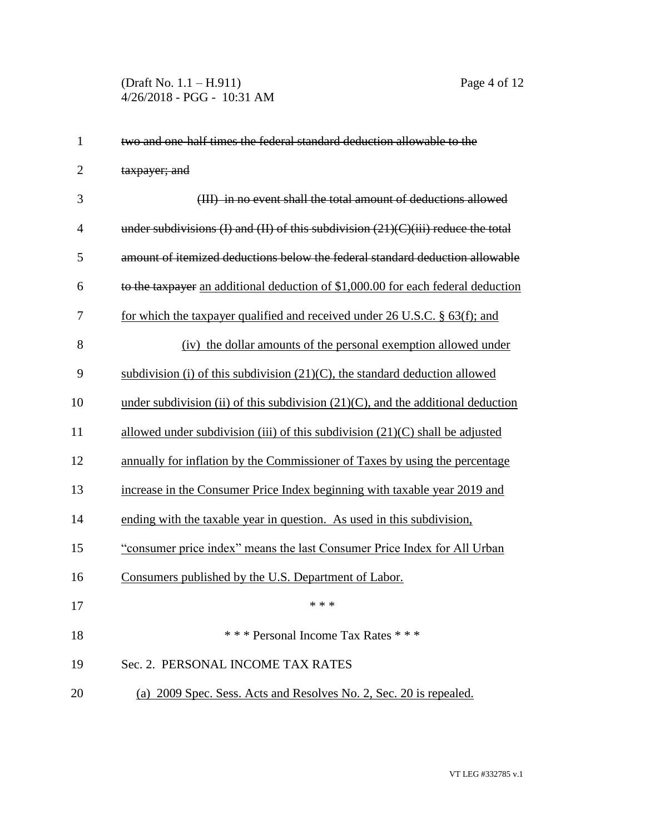| $\mathbf{1}$   | two and one half times the federal standard deduction allowable to the                  |
|----------------|-----------------------------------------------------------------------------------------|
| $\overline{2}$ | taxpayer; and                                                                           |
| 3              | (III) in no event shall the total amount of deductions allowed                          |
| $\overline{4}$ | under subdivisions $(I)$ and $(II)$ of this subdivision $(21)(C)(iii)$ reduce the total |
| 5              | amount of itemized deductions below the federal standard deduction allowable            |
| 6              | to the taxpayer an additional deduction of \$1,000.00 for each federal deduction        |
| 7              | for which the taxpayer qualified and received under 26 U.S.C. $\S$ 63(f); and           |
| 8              | (iv) the dollar amounts of the personal exemption allowed under                         |
| 9              | subdivision (i) of this subdivision $(21)(C)$ , the standard deduction allowed          |
| 10             | under subdivision (ii) of this subdivision $(21)(C)$ , and the additional deduction     |
| 11             | allowed under subdivision (iii) of this subdivision $(21)(C)$ shall be adjusted         |
| 12             | annually for inflation by the Commissioner of Taxes by using the percentage             |
| 13             | increase in the Consumer Price Index beginning with taxable year 2019 and               |
| 14             | ending with the taxable year in question. As used in this subdivision,                  |
| 15             | "consumer price index" means the last Consumer Price Index for All Urban                |
| 16             | Consumers published by the U.S. Department of Labor.                                    |
| 17             | * * *                                                                                   |
| 18             | *** Personal Income Tax Rates ***                                                       |
| 19             | Sec. 2. PERSONAL INCOME TAX RATES                                                       |
| 20             | (a) 2009 Spec. Sess. Acts and Resolves No. 2, Sec. 20 is repealed.                      |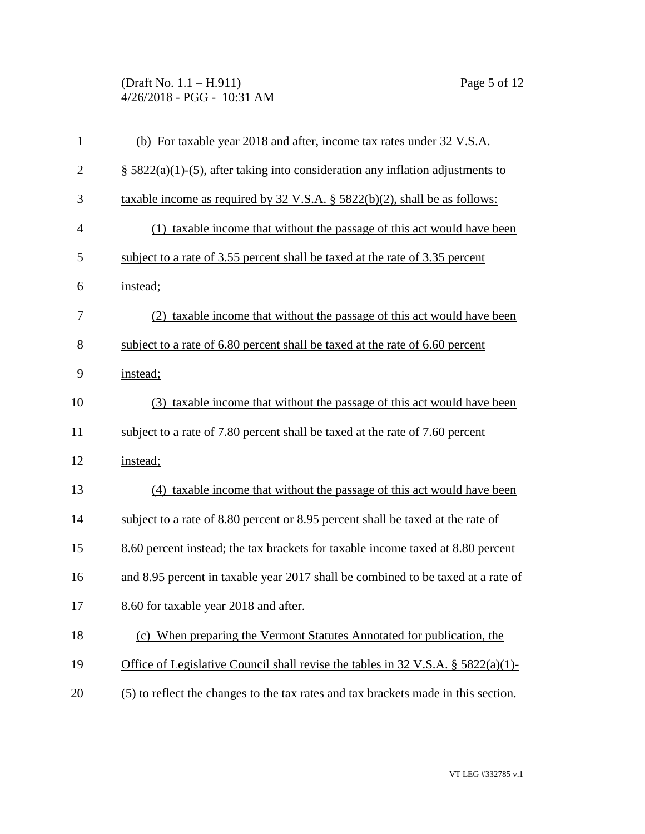(Draft No. 1.1 – H.911) Page 5 of 12 4/26/2018 - PGG - 10:31 AM

| $\mathbf{1}$   | (b) For taxable year 2018 and after, income tax rates under 32 V.S.A.                         |
|----------------|-----------------------------------------------------------------------------------------------|
| $\overline{c}$ | $\S$ 5822(a)(1)-(5), after taking into consideration any inflation adjustments to             |
| 3              | taxable income as required by $32 \text{ V.S.A.}$ § $5822(b)(2)$ , shall be as follows:       |
| $\overline{4}$ | (1) taxable income that without the passage of this act would have been                       |
| 5              | subject to a rate of 3.55 percent shall be taxed at the rate of 3.35 percent                  |
| 6              | instead;                                                                                      |
| 7              | (2) taxable income that without the passage of this act would have been                       |
| 8              | subject to a rate of 6.80 percent shall be taxed at the rate of 6.60 percent                  |
| 9              | instead;                                                                                      |
| 10             | (3) taxable income that without the passage of this act would have been                       |
| 11             | subject to a rate of 7.80 percent shall be taxed at the rate of 7.60 percent                  |
| 12             | instead;                                                                                      |
| 13             | (4) taxable income that without the passage of this act would have been                       |
| 14             | subject to a rate of 8.80 percent or 8.95 percent shall be taxed at the rate of               |
| 15             | 8.60 percent instead; the tax brackets for taxable income taxed at 8.80 percent               |
| 16             | and 8.95 percent in taxable year 2017 shall be combined to be taxed at a rate of              |
| 17             | 8.60 for taxable year 2018 and after.                                                         |
| 18             | (c) When preparing the Vermont Statutes Annotated for publication, the                        |
| 19             | Office of Legislative Council shall revise the tables in $32 \text{ V.S.A.}$ § $5822(a)(1)$ - |
| 20             | (5) to reflect the changes to the tax rates and tax brackets made in this section.            |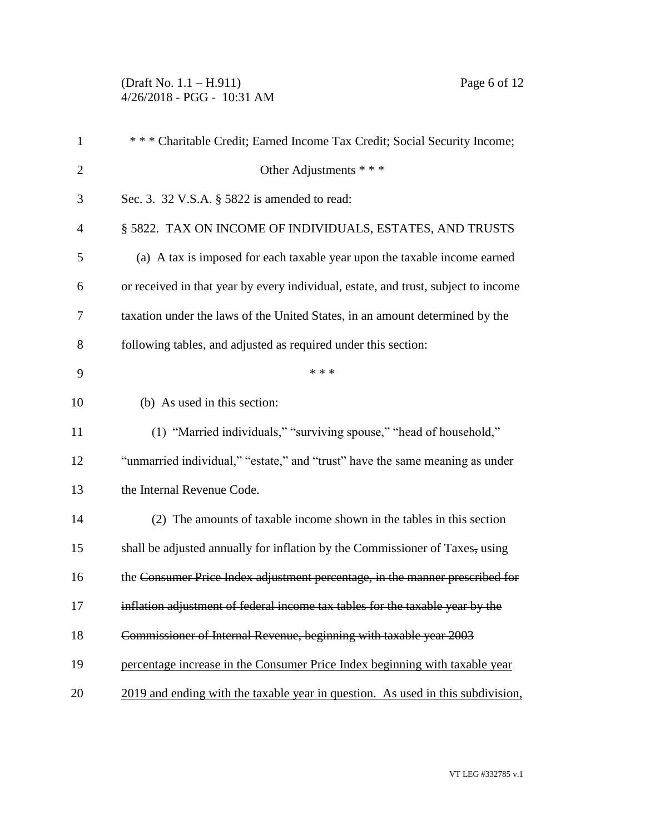(Draft No. 1.1 – H.911) Page 6 of 12 4/26/2018 - PGG - 10:31 AM

| $\mathbf{1}$   | *** Charitable Credit; Earned Income Tax Credit; Social Security Income;           |
|----------------|------------------------------------------------------------------------------------|
| $\overline{2}$ | Other Adjustments * * *                                                            |
| 3              | Sec. 3. 32 V.S.A. § 5822 is amended to read:                                       |
| 4              | § 5822. TAX ON INCOME OF INDIVIDUALS, ESTATES, AND TRUSTS                          |
| 5              | (a) A tax is imposed for each taxable year upon the taxable income earned          |
| 6              | or received in that year by every individual, estate, and trust, subject to income |
| 7              | taxation under the laws of the United States, in an amount determined by the       |
| 8              | following tables, and adjusted as required under this section:                     |
| 9              | * * *                                                                              |
| 10             | (b) As used in this section:                                                       |
| 11             | (1) "Married individuals," "surviving spouse," "head of household,"                |
| 12             | "unmarried individual," "estate," and "trust" have the same meaning as under       |
| 13             | the Internal Revenue Code.                                                         |
| 14             | (2) The amounts of taxable income shown in the tables in this section              |
| 15             | shall be adjusted annually for inflation by the Commissioner of Taxes, using       |
| 16             | the Consumer Price Index adjustment percentage, in the manner prescribed for       |
| 17             | inflation adjustment of federal income tax tables for the taxable year by the      |
| 18             | Commissioner of Internal Revenue, beginning with taxable year 2003                 |
| 19             | percentage increase in the Consumer Price Index beginning with taxable year        |
| 20             | 2019 and ending with the taxable year in question. As used in this subdivision,    |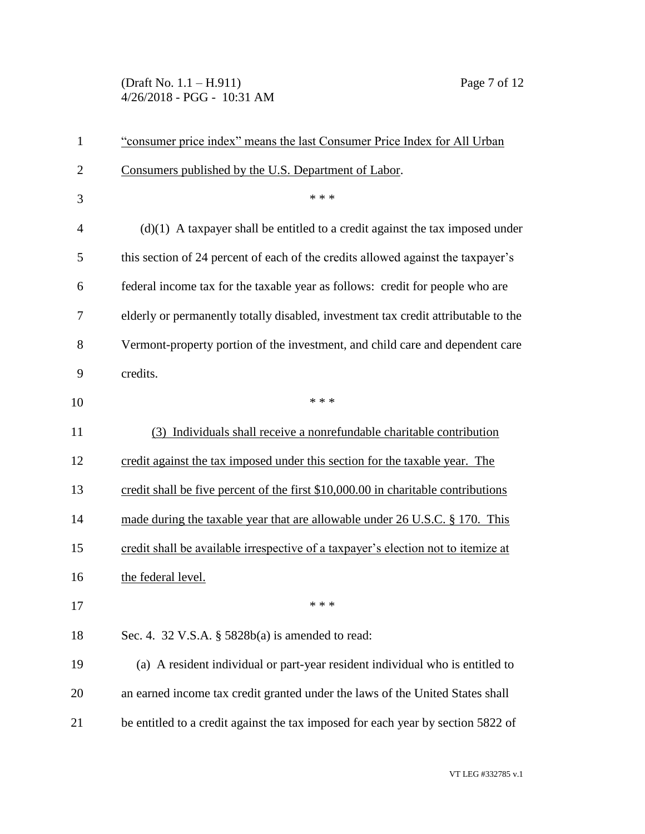(Draft No. 1.1 – H.911) Page 7 of 12 4/26/2018 - PGG - 10:31 AM

| 1              | "consumer price index" means the last Consumer Price Index for All Urban           |
|----------------|------------------------------------------------------------------------------------|
| $\overline{2}$ | Consumers published by the U.S. Department of Labor.                               |
| 3              | * * *                                                                              |
| $\overline{4}$ | $(d)(1)$ A taxpayer shall be entitled to a credit against the tax imposed under    |
| 5              | this section of 24 percent of each of the credits allowed against the taxpayer's   |
| 6              | federal income tax for the taxable year as follows: credit for people who are      |
| 7              | elderly or permanently totally disabled, investment tax credit attributable to the |
| 8              | Vermont-property portion of the investment, and child care and dependent care      |
| 9              | credits.                                                                           |
| 10             | * * *                                                                              |
| 11             | (3) Individuals shall receive a nonrefundable charitable contribution              |
| 12             | credit against the tax imposed under this section for the taxable year. The        |
| 13             | credit shall be five percent of the first \$10,000.00 in charitable contributions  |
| 14             | made during the taxable year that are allowable under 26 U.S.C. § 170. This        |
| 15             | credit shall be available irrespective of a taxpayer's election not to itemize at  |
| 16             | the federal level.                                                                 |
| 17             | * * *                                                                              |
| 18             | Sec. 4. 32 V.S.A. § 5828b(a) is amended to read:                                   |
| 19             | (a) A resident individual or part-year resident individual who is entitled to      |
| 20             | an earned income tax credit granted under the laws of the United States shall      |
| 21             | be entitled to a credit against the tax imposed for each year by section 5822 of   |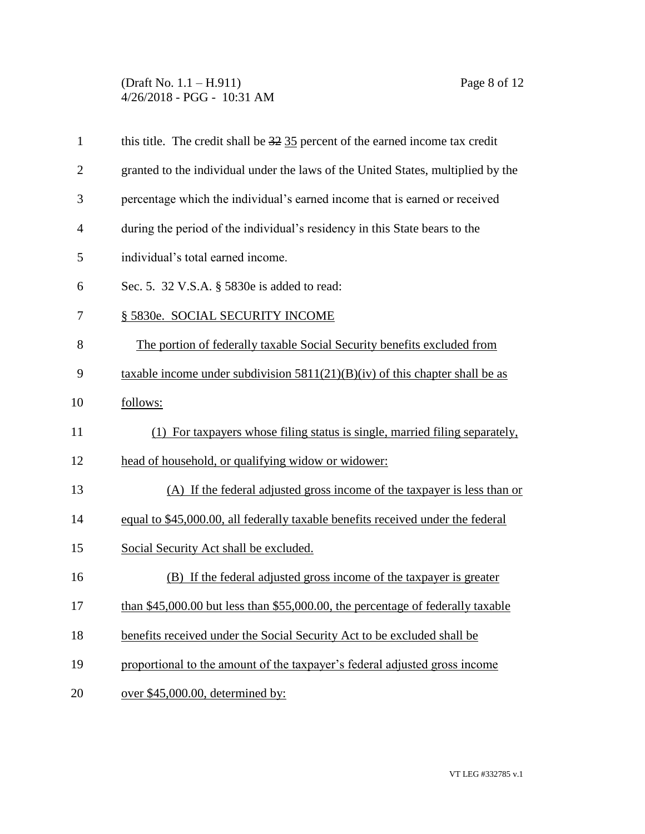(Draft No. 1.1 – H.911) Page 8 of 12 4/26/2018 - PGG - 10:31 AM

| $\mathbf{1}$   | this title. The credit shall be $32\overline{35}$ percent of the earned income tax credit |
|----------------|-------------------------------------------------------------------------------------------|
| $\overline{2}$ | granted to the individual under the laws of the United States, multiplied by the          |
| 3              | percentage which the individual's earned income that is earned or received                |
| $\overline{4}$ | during the period of the individual's residency in this State bears to the                |
| 5              | individual's total earned income.                                                         |
| 6              | Sec. 5. 32 V.S.A. § 5830e is added to read:                                               |
| 7              | § 5830e. SOCIAL SECURITY INCOME                                                           |
| 8              | The portion of federally taxable Social Security benefits excluded from                   |
| 9              | taxable income under subdivision $5811(21)(B)(iv)$ of this chapter shall be as            |
| 10             | follows:                                                                                  |
| 11             | (1) For taxpayers whose filing status is single, married filing separately,               |
| 12             | head of household, or qualifying widow or widower:                                        |
| 13             | (A) If the federal adjusted gross income of the taxpayer is less than or                  |
| 14             | equal to \$45,000.00, all federally taxable benefits received under the federal           |
| 15             | Social Security Act shall be excluded.                                                    |
| 16             | (B) If the federal adjusted gross income of the taxpayer is greater                       |
| 17             | than \$45,000.00 but less than \$55,000.00, the percentage of federally taxable           |
| 18             | benefits received under the Social Security Act to be excluded shall be                   |
| 19             | proportional to the amount of the taxpayer's federal adjusted gross income                |
| 20             | over \$45,000.00, determined by:                                                          |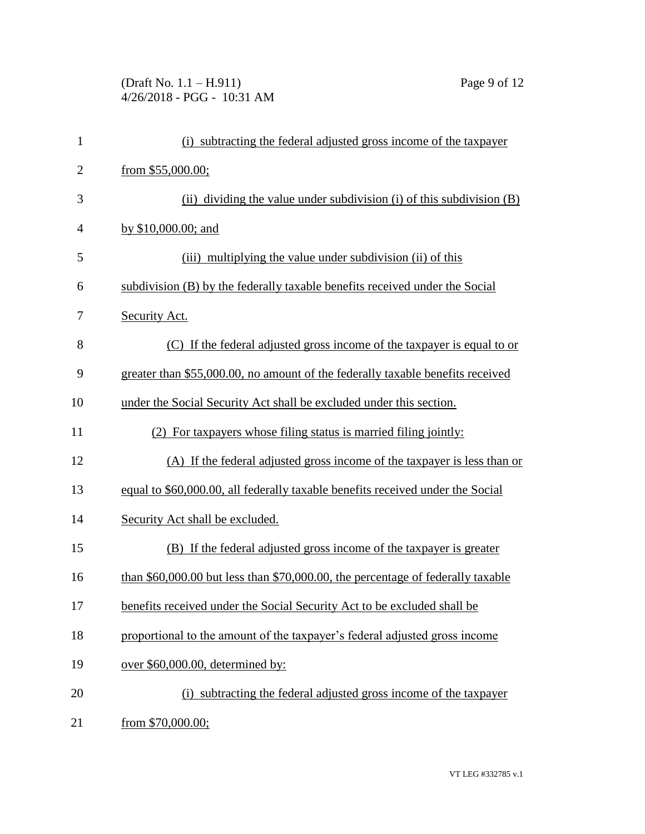(Draft No. 1.1 – H.911) Page 9 of 12 4/26/2018 - PGG - 10:31 AM

| $\mathbf{1}$   | (i) subtracting the federal adjusted gross income of the taxpayer               |
|----------------|---------------------------------------------------------------------------------|
| $\overline{2}$ | from \$55,000.00;                                                               |
| 3              | (ii) dividing the value under subdivision (i) of this subdivision $(B)$         |
| 4              | by $$10,000.00$ ; and                                                           |
| 5              | (iii) multiplying the value under subdivision (ii) of this                      |
| 6              | subdivision (B) by the federally taxable benefits received under the Social     |
| 7              | Security Act.                                                                   |
| 8              | (C) If the federal adjusted gross income of the taxpayer is equal to or         |
| 9              | greater than \$55,000.00, no amount of the federally taxable benefits received  |
| 10             | under the Social Security Act shall be excluded under this section.             |
| 11             | (2) For taxpayers whose filing status is married filing jointly:                |
| 12             | (A) If the federal adjusted gross income of the taxpayer is less than or        |
| 13             | equal to \$60,000.00, all federally taxable benefits received under the Social  |
| 14             | Security Act shall be excluded.                                                 |
| 15             | (B) If the federal adjusted gross income of the taxpayer is greater             |
| 16             | than \$60,000.00 but less than \$70,000.00, the percentage of federally taxable |
| 17             | benefits received under the Social Security Act to be excluded shall be         |
| 18             | proportional to the amount of the taxpayer's federal adjusted gross income      |
| 19             | over \$60,000.00, determined by:                                                |
| 20             | (i) subtracting the federal adjusted gross income of the taxpayer               |
| 21             | from $$70,000.00;$                                                              |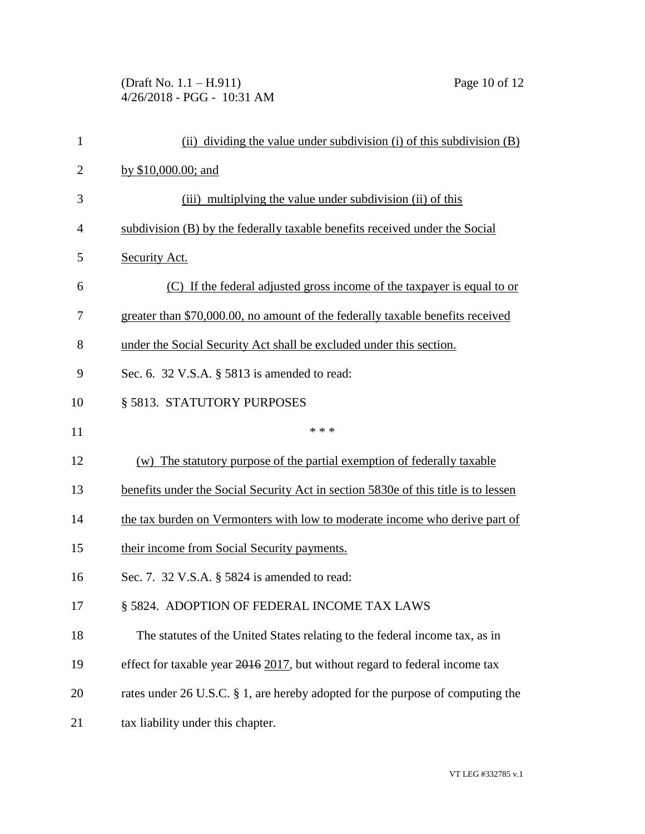(Draft No. 1.1 – H.911) Page 10 of 12 4/26/2018 - PGG - 10:31 AM

| $\mathbf{1}$   | (ii) dividing the value under subdivision (i) of this subdivision (B)              |
|----------------|------------------------------------------------------------------------------------|
| $\overline{2}$ | by \$10,000.00; and                                                                |
| 3              | (iii) multiplying the value under subdivision (ii) of this                         |
| 4              | subdivision (B) by the federally taxable benefits received under the Social        |
| 5              | Security Act.                                                                      |
| 6              | (C) If the federal adjusted gross income of the taxpayer is equal to or            |
| 7              | greater than \$70,000.00, no amount of the federally taxable benefits received     |
| 8              | under the Social Security Act shall be excluded under this section.                |
| 9              | Sec. 6. 32 V.S.A. § 5813 is amended to read:                                       |
| 10             | § 5813. STATUTORY PURPOSES                                                         |
| 11             | * * *                                                                              |
| 12             | The statutory purpose of the partial exemption of federally taxable<br>(w)         |
| 13             | benefits under the Social Security Act in section 5830e of this title is to lessen |
| 14             | the tax burden on Vermonters with low to moderate income who derive part of        |
| 15             | their income from Social Security payments.                                        |
| 16             | Sec. 7. 32 V.S.A. § 5824 is amended to read:                                       |
| 17             | § 5824. ADOPTION OF FEDERAL INCOME TAX LAWS                                        |
| 18             | The statutes of the United States relating to the federal income tax, as in        |
| 19             | effect for taxable year 2016 2017, but without regard to federal income tax        |
| 20             | rates under 26 U.S.C. § 1, are hereby adopted for the purpose of computing the     |
| 21             | tax liability under this chapter.                                                  |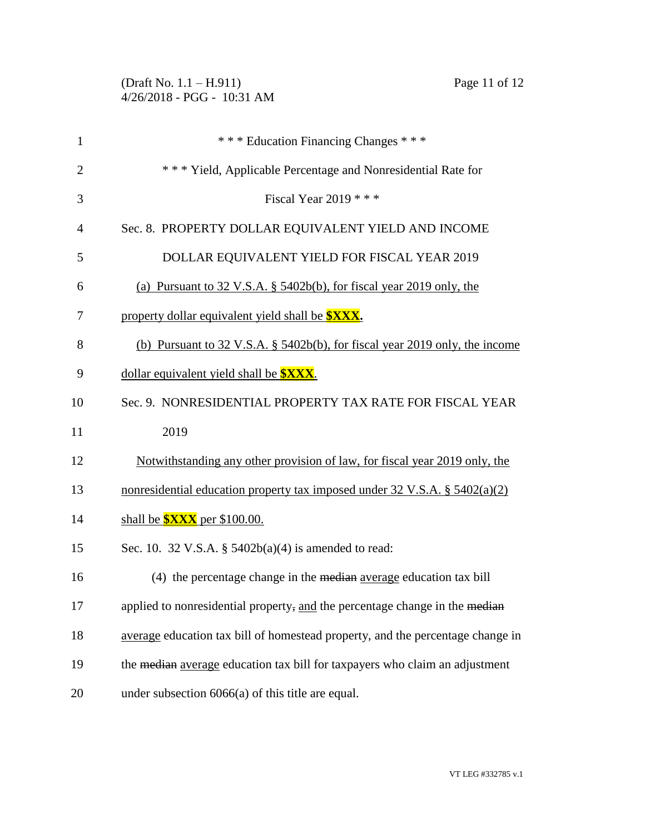|                | Page 11 of 12<br>(Draft No. $1.1 - H.911$ )<br>4/26/2018 - PGG - 10:31 AM              |
|----------------|----------------------------------------------------------------------------------------|
| $\mathbf{1}$   | *** Education Financing Changes ***                                                    |
| $\overline{2}$ | *** Yield, Applicable Percentage and Nonresidential Rate for                           |
| 3              | Fiscal Year 2019 $***$                                                                 |
| 4              | Sec. 8. PROPERTY DOLLAR EQUIVALENT YIELD AND INCOME                                    |
| 5              | DOLLAR EQUIVALENT YIELD FOR FISCAL YEAR 2019                                           |
| 6              | (a) Pursuant to $32 \text{ V.S.A. }$ \$5402b(b), for fiscal year 2019 only, the        |
| 7              | property dollar equivalent yield shall be <b>\$XXX</b> .                               |
| 8              | (b) Pursuant to $32 \text{ V.S.A. }$ \$5402b(b), for fiscal year 2019 only, the income |
| 9              | dollar equivalent yield shall be <b>\$XXX</b> .                                        |
| 10             | Sec. 9. NONRESIDENTIAL PROPERTY TAX RATE FOR FISCAL YEAR                               |
| 11             | 2019                                                                                   |
| 12             | <u>Notwithstanding any other provision of law, for fiscal year 2019 only, the</u>      |
| 13             | nonresidential education property tax imposed under $32 \text{ V.S.A.}$ § $5402(a)(2)$ |
| 14             | shall be $\frac{\sqrt{3}XX}{\sqrt{2}}$ per \$100.00.                                   |
| 15             | Sec. 10. 32 V.S.A. § $5402b(a)(4)$ is amended to read:                                 |
| 16             | (4) the percentage change in the median average education tax bill                     |
| 17             | applied to nonresidential property, and the percentage change in the median            |
| 18             | average education tax bill of homestead property, and the percentage change in         |
| 19             | the median average education tax bill for taxpayers who claim an adjustment            |
| 20             | under subsection $6066(a)$ of this title are equal.                                    |